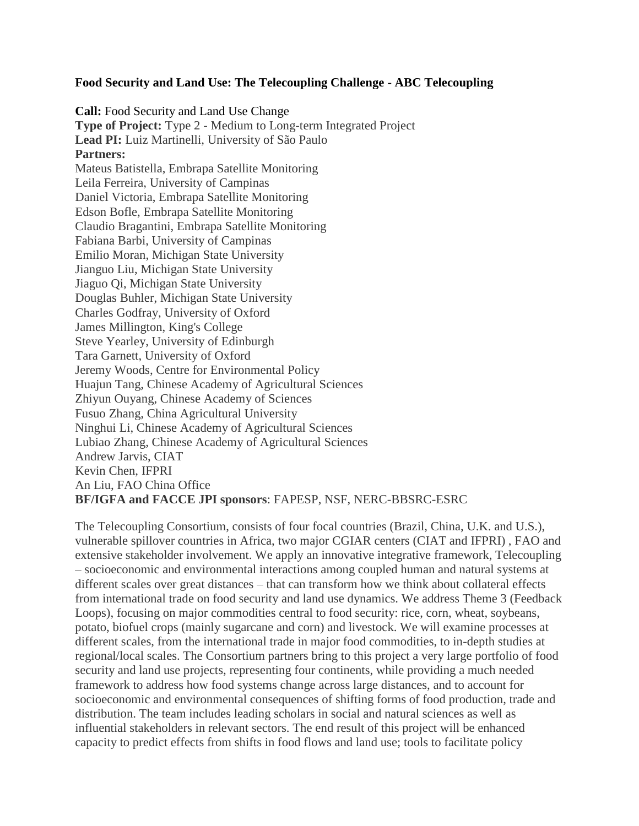## **Food Security and Land Use: The Telecoupling Challenge - ABC Telecoupling**

**Call:** Food Security and Land Use Change **Type of Project:** Type 2 - Medium to Long-term Integrated Project **Lead PI:** Luiz Martinelli, University of São Paulo **Partners:**  Mateus Batistella, Embrapa Satellite Monitoring Leila Ferreira, University of Campinas Daniel Victoria, Embrapa Satellite Monitoring Edson Bofle, Embrapa Satellite Monitoring Claudio Bragantini, Embrapa Satellite Monitoring Fabiana Barbi, University of Campinas Emilio Moran, Michigan State University Jianguo Liu, Michigan State University Jiaguo Qi, Michigan State University Douglas Buhler, Michigan State University Charles Godfray, University of Oxford James Millington, King's College Steve Yearley, University of Edinburgh Tara Garnett, University of Oxford Jeremy Woods, Centre for Environmental Policy Huajun Tang, Chinese Academy of Agricultural Sciences Zhiyun Ouyang, Chinese Academy of Sciences Fusuo Zhang, China Agricultural University Ninghui Li, Chinese Academy of Agricultural Sciences Lubiao Zhang, Chinese Academy of Agricultural Sciences Andrew Jarvis, CIAT Kevin Chen, IFPRI An Liu, FAO China Office **BF/IGFA and FACCE JPI sponsors**: FAPESP, NSF, NERC-BBSRC-ESRC

The Telecoupling Consortium, consists of four focal countries (Brazil, China, U.K. and U.S.), vulnerable spillover countries in Africa, two major CGIAR centers (CIAT and IFPRI) , FAO and extensive stakeholder involvement. We apply an innovative integrative framework, Telecoupling – socioeconomic and environmental interactions among coupled human and natural systems at different scales over great distances – that can transform how we think about collateral effects from international trade on food security and land use dynamics. We address Theme 3 (Feedback Loops), focusing on major commodities central to food security: rice, corn, wheat, soybeans, potato, biofuel crops (mainly sugarcane and corn) and livestock. We will examine processes at different scales, from the international trade in major food commodities, to in-depth studies at regional/local scales. The Consortium partners bring to this project a very large portfolio of food security and land use projects, representing four continents, while providing a much needed framework to address how food systems change across large distances, and to account for socioeconomic and environmental consequences of shifting forms of food production, trade and distribution. The team includes leading scholars in social and natural sciences as well as influential stakeholders in relevant sectors. The end result of this project will be enhanced capacity to predict effects from shifts in food flows and land use; tools to facilitate policy